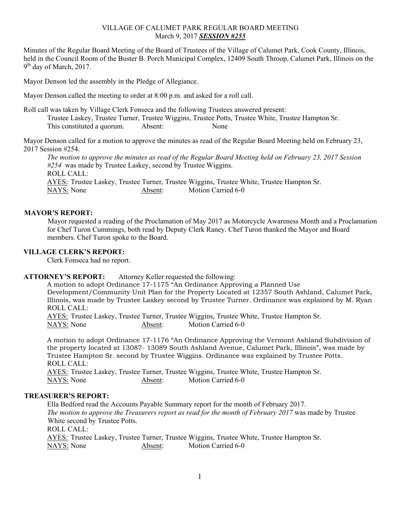### VILLAGE OF CALUMET PARK REGULAR BOARD MEETING March 9, 2017 *SESSION #255*

Minutes of the Regular Board Meeting of the Board of Trustees of the Village of Calumet Park, Cook County, Illinois, held in the Council Room of the Buster B. Porch Municipal Complex, 12409 South Throop, Calumet Park, Illinois on the  $9<sup>th</sup>$  day of March, 2017.

Mayor Denson led the assembly in the Pledge of Allegiance.

Mayor Denson called the meeting to order at 8:00 p.m. and asked for a roll call.

Roll call was taken by Village Clerk Fonseca and the following Trustees answered present: Trustee Laskey, Trustee Turner, Trustee Wiggins, Trustee Potts, Trustee White, Trustee Hampton Sr. This constituted a quorum. Absent: None

Mayor Denson called for a motion to approve the minutes as read of the Regular Board Meeting held on February 23, 2017 Session #254.

*The motion to approve the minutes as read of the Regular Board Meeting held on February 23, 2017 Session #254* was made by Trustee Laskey, second by Trustee Wiggins. ROLL CALL: AYES: Trustee Laskey, Trustee Turner, Trustee Wiggins, Trustee White, Trustee Hampton Sr. NAYS: None Absent: Motion Carried 6-0

#### **MAYOR'S REPORT:**

Mayor requested a reading of the Proclamation of May 2017 as Motorcycle Awareness Month and a Proclamation for Chef Turon Cummings, both read by Deputy Clerk Raney. Chef Turon thanked the Mayor and Board members. Chef Turon spoke to the Board.

### **VILLAGE CLERK'S REPORT:**

Clerk Fonseca had no report.

# **ATTORNEY'S REPORT:** Attorney Keller requested the following:

A motion to adopt Ordinance 17-1175 "An Ordinance Approving a Planned Use Development/Community Unit Plan for the Property Located at 12357 South Ashland, Calumet Park, Illinois, was made by Trustee Laskey second by Trustee Turner. Ordinance was explained by M. Ryan ROLL CALL:

 AYES: Trustee Laskey, Trustee Turner, Trustee Wiggins, Trustee White, Trustee Hampton Sr. NAYS: None Absent: Motion Carried 6-0

A motion to adopt Ordinance 17-1176 "An Ordinance Approving the Vermont Ashland Subdivision of the property located at 13087- 13089 South Ashland Avenue, Calumet Park, Illinois", was made by Trustee Hampton Sr. second by Trustee Wiggins. Ordinance was explained by Trustee Potts. ROLL CALL:

 AYES: Trustee Laskey, Trustee Turner, Trustee Wiggins, Trustee White, Trustee Hampton Sr. NAYS: None Absent: Motion Carried 6-0

# **TREASURER'S REPORT:**

Ella Bedford read the Accounts Payable Summary report for the month of February 2017. *The motion to approve the Treasurers report as read for the month of February 2017* was made by Trustee White second by Trustee Potts. ROLL CALL: AYES: Trustee Laskey, Trustee Turner, Trustee Wiggins, Trustee White, Trustee Hampton Sr. NAYS: None Absent: Motion Carried 6-0